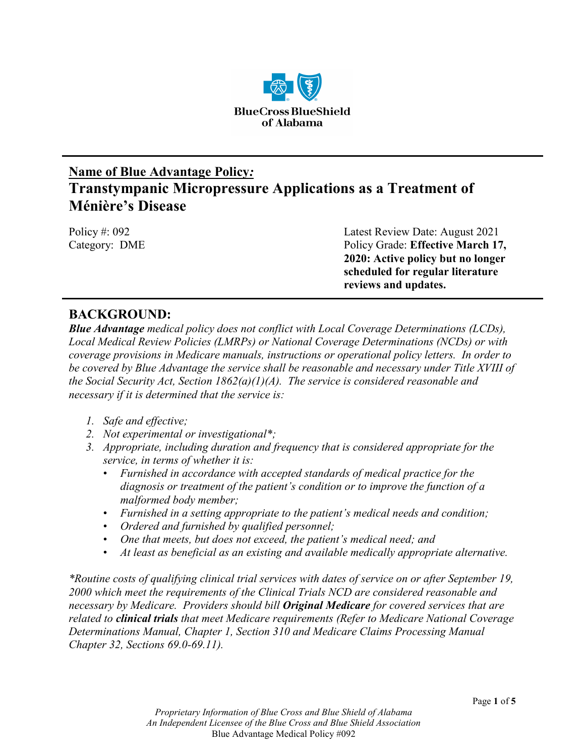

# **Name of Blue Advantage Policy***:*  **Transtympanic Micropressure Applications as a Treatment of Ménière's Disease**

Policy #: 092 **Latest Review Date: August 2021** Category: DME Policy Grade: **Effective March 17, 2020: Active policy but no longer scheduled for regular literature reviews and updates.**

# **BACKGROUND:**

*Blue Advantage medical policy does not conflict with Local Coverage Determinations (LCDs), Local Medical Review Policies (LMRPs) or National Coverage Determinations (NCDs) or with coverage provisions in Medicare manuals, instructions or operational policy letters. In order to be covered by Blue Advantage the service shall be reasonable and necessary under Title XVIII of the Social Security Act, Section 1862(a)(1)(A). The service is considered reasonable and necessary if it is determined that the service is:*

- *1. Safe and effective;*
- *2. Not experimental or investigational\*;*
- *3. Appropriate, including duration and frequency that is considered appropriate for the service, in terms of whether it is:*
	- *Furnished in accordance with accepted standards of medical practice for the diagnosis or treatment of the patient's condition or to improve the function of a malformed body member;*
	- *Furnished in a setting appropriate to the patient's medical needs and condition;*
	- *Ordered and furnished by qualified personnel;*
	- *One that meets, but does not exceed, the patient's medical need; and*
	- *At least as beneficial as an existing and available medically appropriate alternative.*

*\*Routine costs of qualifying clinical trial services with dates of service on or after September 19, 2000 which meet the requirements of the Clinical Trials NCD are considered reasonable and necessary by Medicare. Providers should bill Original Medicare for covered services that are related to clinical trials that meet Medicare requirements (Refer to Medicare National Coverage Determinations Manual, Chapter 1, Section 310 and Medicare Claims Processing Manual Chapter 32, Sections 69.0-69.11).*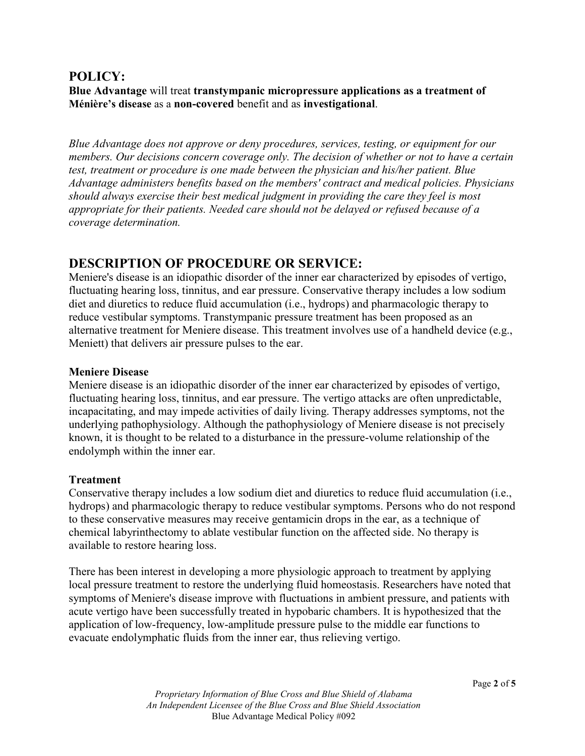### **POLICY:**

**Blue Advantage** will treat **transtympanic micropressure applications as a treatment of Ménière's disease** as a **non-covered** benefit and as **investigational**.

*Blue Advantage does not approve or deny procedures, services, testing, or equipment for our members. Our decisions concern coverage only. The decision of whether or not to have a certain test, treatment or procedure is one made between the physician and his/her patient. Blue Advantage administers benefits based on the members' contract and medical policies. Physicians should always exercise their best medical judgment in providing the care they feel is most appropriate for their patients. Needed care should not be delayed or refused because of a coverage determination.*

### **DESCRIPTION OF PROCEDURE OR SERVICE:**

Meniere's disease is an idiopathic disorder of the inner ear characterized by episodes of vertigo, fluctuating hearing loss, tinnitus, and ear pressure. Conservative therapy includes a low sodium diet and diuretics to reduce fluid accumulation (i.e., hydrops) and pharmacologic therapy to reduce vestibular symptoms. Transtympanic pressure treatment has been proposed as an alternative treatment for Meniere disease. This treatment involves use of a handheld device (e.g., Meniett) that delivers air pressure pulses to the ear.

#### **Meniere Disease**

Meniere disease is an idiopathic disorder of the inner ear characterized by episodes of vertigo, fluctuating hearing loss, tinnitus, and ear pressure. The vertigo attacks are often unpredictable, incapacitating, and may impede activities of daily living. Therapy addresses symptoms, not the underlying pathophysiology. Although the pathophysiology of Meniere disease is not precisely known, it is thought to be related to a disturbance in the pressure-volume relationship of the endolymph within the inner ear.

#### **Treatment**

Conservative therapy includes a low sodium diet and diuretics to reduce fluid accumulation (i.e., hydrops) and pharmacologic therapy to reduce vestibular symptoms. Persons who do not respond to these conservative measures may receive gentamicin drops in the ear, as a technique of chemical labyrinthectomy to ablate vestibular function on the affected side. No therapy is available to restore hearing loss.

There has been interest in developing a more physiologic approach to treatment by applying local pressure treatment to restore the underlying fluid homeostasis. Researchers have noted that symptoms of Meniere's disease improve with fluctuations in ambient pressure, and patients with acute vertigo have been successfully treated in hypobaric chambers. It is hypothesized that the application of low-frequency, low-amplitude pressure pulse to the middle ear functions to evacuate endolymphatic fluids from the inner ear, thus relieving vertigo.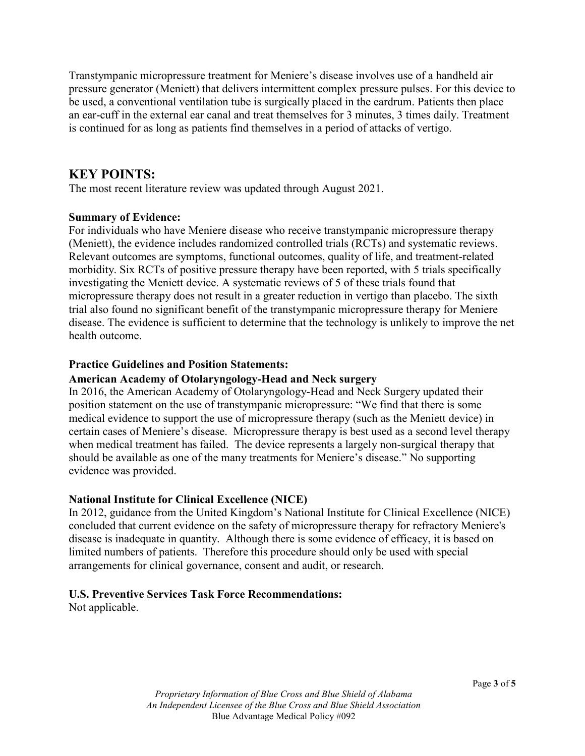Transtympanic micropressure treatment for Meniere's disease involves use of a handheld air pressure generator (Meniett) that delivers intermittent complex pressure pulses. For this device to be used, a conventional ventilation tube is surgically placed in the eardrum. Patients then place an ear-cuff in the external ear canal and treat themselves for 3 minutes, 3 times daily. Treatment is continued for as long as patients find themselves in a period of attacks of vertigo.

### **KEY POINTS:**

The most recent literature review was updated through August 2021.

#### **Summary of Evidence:**

For individuals who have Meniere disease who receive transtympanic micropressure therapy (Meniett), the evidence includes randomized controlled trials (RCTs) and systematic reviews. Relevant outcomes are symptoms, functional outcomes, quality of life, and treatment-related morbidity. Six RCTs of positive pressure therapy have been reported, with 5 trials specifically investigating the Meniett device. A systematic reviews of 5 of these trials found that micropressure therapy does not result in a greater reduction in vertigo than placebo. The sixth trial also found no significant benefit of the transtympanic micropressure therapy for Meniere disease. The evidence is sufficient to determine that the technology is unlikely to improve the net health outcome.

#### **Practice Guidelines and Position Statements:**

#### **American Academy of Otolaryngology-Head and Neck surgery**

In 2016, the American Academy of Otolaryngology-Head and Neck Surgery updated their position statement on the use of transtympanic micropressure: "We find that there is some medical evidence to support the use of micropressure therapy (such as the Meniett device) in certain cases of Meniere's disease. Micropressure therapy is best used as a second level therapy when medical treatment has failed. The device represents a largely non-surgical therapy that should be available as one of the many treatments for Meniere's disease." No supporting evidence was provided.

#### **National Institute for Clinical Excellence (NICE)**

In 2012, guidance from the United Kingdom's National Institute for Clinical Excellence (NICE) concluded that current evidence on the safety of micropressure therapy for refractory Meniere's disease is inadequate in quantity. Although there is some evidence of efficacy, it is based on limited numbers of patients. Therefore this procedure should only be used with special arrangements for clinical governance, consent and audit, or research.

#### **U.S. Preventive Services Task Force Recommendations:**

Not applicable.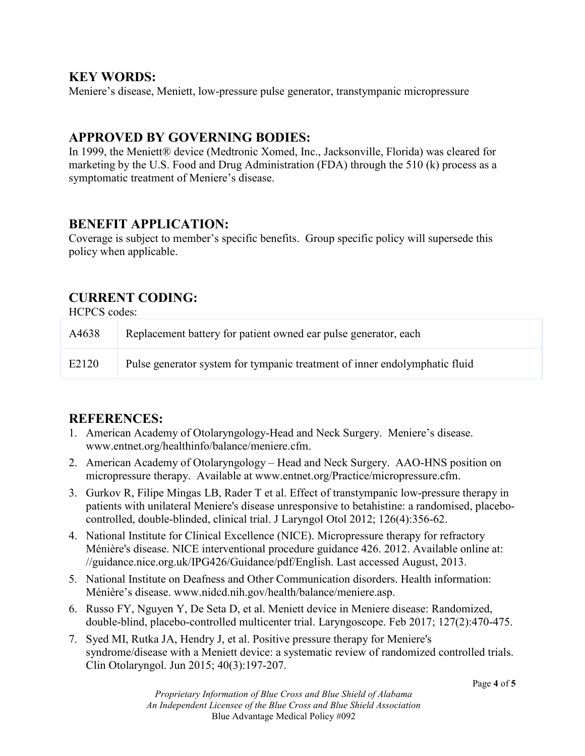### **KEY WORDS:**

Meniere's disease, Meniett, low-pressure pulse generator, transtympanic micropressure

# **APPROVED BY GOVERNING BODIES:**

In 1999, the Meniett® device (Medtronic Xomed, Inc., Jacksonville, Florida) was cleared for marketing by the U.S. Food and Drug Administration (FDA) through the 510 (k) process as a symptomatic treatment of Meniere's disease.

### **BENEFIT APPLICATION:**

Coverage is subject to member's specific benefits. Group specific policy will supersede this policy when applicable.

# **CURRENT CODING:**

HCPCS codes:

| A4638 | Replacement battery for patient owned ear pulse generator, each            |
|-------|----------------------------------------------------------------------------|
| E2120 | Pulse generator system for tympanic treatment of inner endolymphatic fluid |

# **REFERENCES:**

- 1. American Academy of Otolaryngology-Head and Neck Surgery. Meniere's disease. www.entnet.org/healthinfo/balance/meniere.cfm.
- 2. American Academy of Otolaryngology Head and Neck Surgery. AAO-HNS position on micropressure therapy. Available at www.entnet.org/Practice/micropressure.cfm.
- 3. Gurkov R, Filipe Mingas LB, Rader T et al. Effect of transtympanic low-pressure therapy in patients with unilateral Meniere's disease unresponsive to betahistine: a randomised, placebocontrolled, double-blinded, clinical trial. J Laryngol Otol 2012; 126(4):356-62.
- 4. National Institute for Clinical Excellence (NICE). Micropressure therapy for refractory Ménière's disease. NICE interventional procedure guidance 426. 2012. Available online at: //guidance.nice.org.uk/IPG426/Guidance/pdf/English. Last accessed August, 2013.
- 5. National Institute on Deafness and Other Communication disorders. Health information: Ménière's disease. www.nidcd.nih.gov/health/balance/meniere.asp.
- 6. Russo FY, Nguyen Y, De Seta D, et al. Meniett device in Meniere disease: Randomized, double-blind, placebo-controlled multicenter trial. Laryngoscope. Feb 2017; 127(2):470-475.
- 7. Syed MI, Rutka JA, Hendry J, et al. Positive pressure therapy for Meniere's syndrome/disease with a Meniett device: a systematic review of randomized controlled trials. Clin Otolaryngol. Jun 2015; 40(3):197-207.